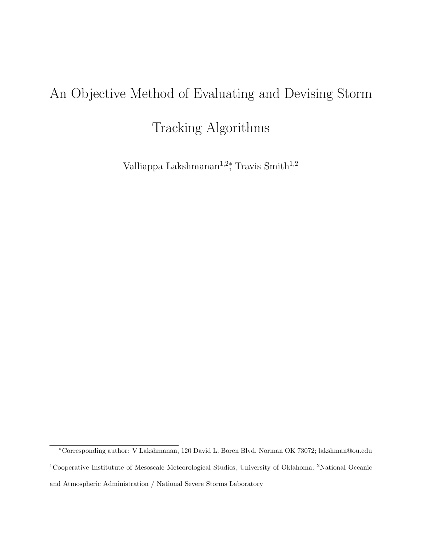# An Objective Method of Evaluating and Devising Storm

Tracking Algorithms

Valliappa Lakshmanan<sup>1,2</sup><sup>\*</sup>, Travis Smith<sup>1,2</sup>

<sup>∗</sup>Corresponding author: V Lakshmanan, 120 David L. Boren Blvd, Norman OK 73072; lakshman@ou.edu <sup>1</sup>Cooperative Institutute of Mesoscale Meteorological Studies, University of Oklahoma; <sup>2</sup>National Oceanic and Atmospheric Administration / National Severe Storms Laboratory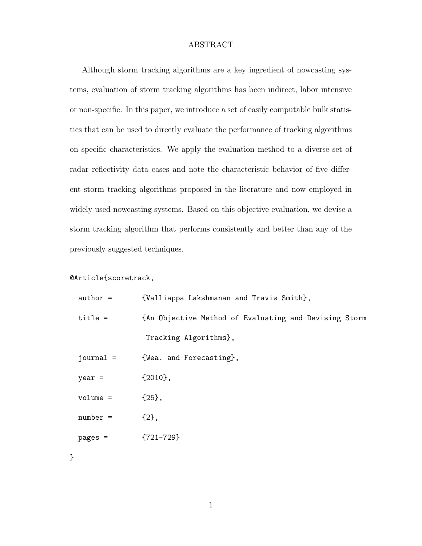#### ABSTRACT

Although storm tracking algorithms are a key ingredient of nowcasting systems, evaluation of storm tracking algorithms has been indirect, labor intensive or non-specific. In this paper, we introduce a set of easily computable bulk statistics that can be used to directly evaluate the performance of tracking algorithms on specific characteristics. We apply the evaluation method to a diverse set of radar reflectivity data cases and note the characteristic behavior of five different storm tracking algorithms proposed in the literature and now employed in widely used nowcasting systems. Based on this objective evaluation, we devise a storm tracking algorithm that performs consistently and better than any of the previously suggested techniques.

### @Article{scoretrack,

| $author =$  | {Valliappa Lakshmanan and Travis Smith},              |
|-------------|-------------------------------------------------------|
| $title =$   | {An Objective Method of Evaluating and Devising Storm |
|             | Tracking Algorithms},                                 |
| journal $=$ | {Wea. and Forecasting},                               |
| $year =$    | $\{2010\}$ ,                                          |
| $volume =$  | ${25},$                                               |
| $number =$  | ${2},$                                                |
| $pages =$   | ${721-729}$                                           |

}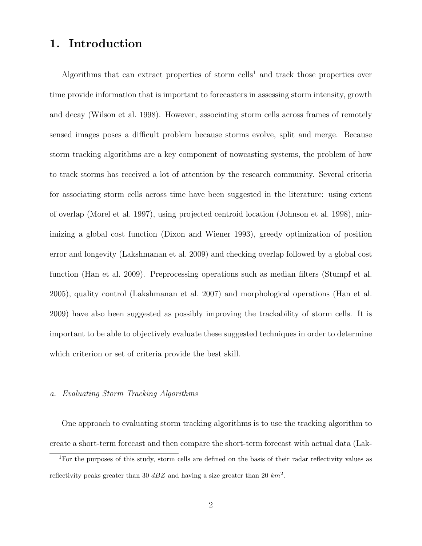## 1. Introduction

Algorithms that can extract properties of storm cells<sup>1</sup> and track those properties over time provide information that is important to forecasters in assessing storm intensity, growth and decay (Wilson et al. 1998). However, associating storm cells across frames of remotely sensed images poses a difficult problem because storms evolve, split and merge. Because storm tracking algorithms are a key component of nowcasting systems, the problem of how to track storms has received a lot of attention by the research community. Several criteria for associating storm cells across time have been suggested in the literature: using extent of overlap (Morel et al. 1997), using projected centroid location (Johnson et al. 1998), minimizing a global cost function (Dixon and Wiener 1993), greedy optimization of position error and longevity (Lakshmanan et al. 2009) and checking overlap followed by a global cost function (Han et al. 2009). Preprocessing operations such as median filters (Stumpf et al. 2005), quality control (Lakshmanan et al. 2007) and morphological operations (Han et al. 2009) have also been suggested as possibly improving the trackability of storm cells. It is important to be able to objectively evaluate these suggested techniques in order to determine which criterion or set of criteria provide the best skill.

#### a. Evaluating Storm Tracking Algorithms

One approach to evaluating storm tracking algorithms is to use the tracking algorithm to create a short-term forecast and then compare the short-term forecast with actual data (Lak-

<sup>&</sup>lt;sup>1</sup>For the purposes of this study, storm cells are defined on the basis of their radar reflectivity values as reflectivity peaks greater than 30  $dBZ$  and having a size greater than 20  $km^2$ .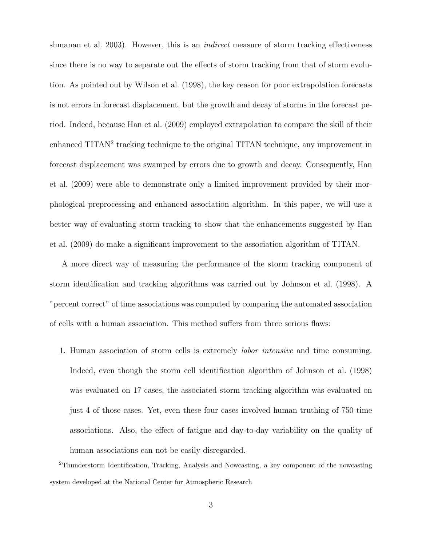shmanan et al. 2003). However, this is an *indirect* measure of storm tracking effectiveness since there is no way to separate out the effects of storm tracking from that of storm evolution. As pointed out by Wilson et al. (1998), the key reason for poor extrapolation forecasts is not errors in forecast displacement, but the growth and decay of storms in the forecast period. Indeed, because Han et al. (2009) employed extrapolation to compare the skill of their enhanced TITAN<sup>2</sup> tracking technique to the original TITAN technique, any improvement in forecast displacement was swamped by errors due to growth and decay. Consequently, Han et al. (2009) were able to demonstrate only a limited improvement provided by their morphological preprocessing and enhanced association algorithm. In this paper, we will use a better way of evaluating storm tracking to show that the enhancements suggested by Han et al. (2009) do make a significant improvement to the association algorithm of TITAN.

A more direct way of measuring the performance of the storm tracking component of storm identification and tracking algorithms was carried out by Johnson et al. (1998). A "percent correct" of time associations was computed by comparing the automated association of cells with a human association. This method suffers from three serious flaws:

1. Human association of storm cells is extremely labor intensive and time consuming. Indeed, even though the storm cell identification algorithm of Johnson et al. (1998) was evaluated on 17 cases, the associated storm tracking algorithm was evaluated on just 4 of those cases. Yet, even these four cases involved human truthing of 750 time associations. Also, the effect of fatigue and day-to-day variability on the quality of human associations can not be easily disregarded.

<sup>2</sup>Thunderstorm Identification, Tracking, Analysis and Nowcasting, a key component of the nowcasting system developed at the National Center for Atmospheric Research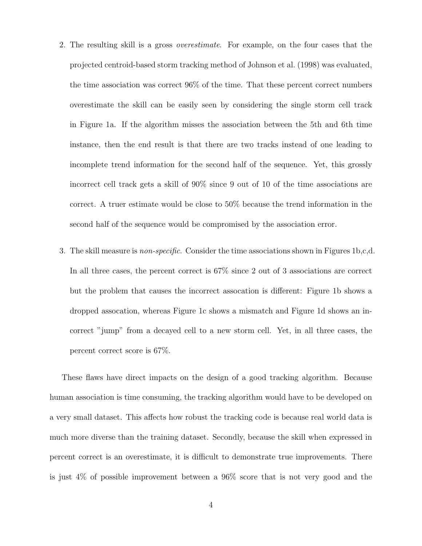- 2. The resulting skill is a gross overestimate. For example, on the four cases that the projected centroid-based storm tracking method of Johnson et al. (1998) was evaluated, the time association was correct 96% of the time. That these percent correct numbers overestimate the skill can be easily seen by considering the single storm cell track in Figure 1a. If the algorithm misses the association between the 5th and 6th time instance, then the end result is that there are two tracks instead of one leading to incomplete trend information for the second half of the sequence. Yet, this grossly incorrect cell track gets a skill of 90% since 9 out of 10 of the time associations are correct. A truer estimate would be close to 50% because the trend information in the second half of the sequence would be compromised by the association error.
- 3. The skill measure is non-specific. Consider the time associations shown in Figures 1b,c,d. In all three cases, the percent correct is 67% since 2 out of 3 associations are correct but the problem that causes the incorrect assocation is different: Figure 1b shows a dropped assocation, whereas Figure 1c shows a mismatch and Figure 1d shows an incorrect "jump" from a decayed cell to a new storm cell. Yet, in all three cases, the percent correct score is 67%.

These flaws have direct impacts on the design of a good tracking algorithm. Because human association is time consuming, the tracking algorithm would have to be developed on a very small dataset. This affects how robust the tracking code is because real world data is much more diverse than the training dataset. Secondly, because the skill when expressed in percent correct is an overestimate, it is difficult to demonstrate true improvements. There is just 4% of possible improvement between a 96% score that is not very good and the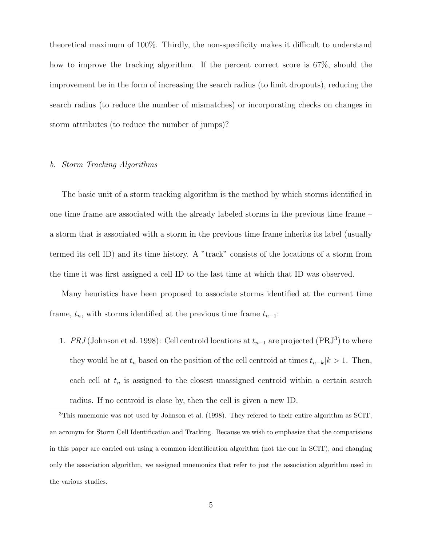theoretical maximum of 100%. Thirdly, the non-specificity makes it difficult to understand how to improve the tracking algorithm. If the percent correct score is 67%, should the improvement be in the form of increasing the search radius (to limit dropouts), reducing the search radius (to reduce the number of mismatches) or incorporating checks on changes in storm attributes (to reduce the number of jumps)?

#### b. Storm Tracking Algorithms

The basic unit of a storm tracking algorithm is the method by which storms identified in one time frame are associated with the already labeled storms in the previous time frame – a storm that is associated with a storm in the previous time frame inherits its label (usually termed its cell ID) and its time history. A "track" consists of the locations of a storm from the time it was first assigned a cell ID to the last time at which that ID was observed.

Many heuristics have been proposed to associate storms identified at the current time frame,  $t_n$ , with storms identified at the previous time frame  $t_{n-1}$ :

1. PRJ (Johnson et al. 1998): Cell centroid locations at  $t_{n-1}$  are projected (PRJ<sup>3</sup>) to where they would be at  $t_n$  based on the position of the cell centroid at times  $t_{n-k}|k\rangle \geq 1$ . Then, each cell at  $t_n$  is assigned to the closest unassigned centroid within a certain search radius. If no centroid is close by, then the cell is given a new ID.

<sup>3</sup>This mnemonic was not used by Johnson et al. (1998). They refered to their entire algorithm as SCIT, an acronym for Storm Cell Identification and Tracking. Because we wish to emphasize that the comparisions in this paper are carried out using a common identification algorithm (not the one in SCIT), and changing only the association algorithm, we assigned mnemonics that refer to just the association algorithm used in the various studies.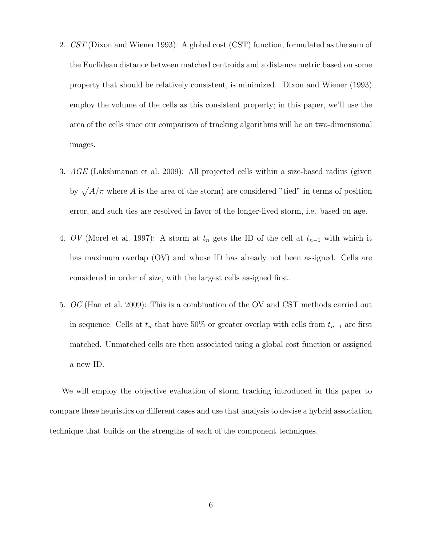- 2. CST (Dixon and Wiener 1993): A global cost (CST) function, formulated as the sum of the Euclidean distance between matched centroids and a distance metric based on some property that should be relatively consistent, is minimized. Dixon and Wiener (1993) employ the volume of the cells as this consistent property; in this paper, we'll use the area of the cells since our comparison of tracking algorithms will be on two-dimensional images.
- 3. AGE (Lakshmanan et al. 2009): All projected cells within a size-based radius (given by  $\sqrt{A/\pi}$  where A is the area of the storm) are considered "tied" in terms of position error, and such ties are resolved in favor of the longer-lived storm, i.e. based on age.
- 4. OV (Morel et al. 1997): A storm at  $t_n$  gets the ID of the cell at  $t_{n-1}$  with which it has maximum overlap (OV) and whose ID has already not been assigned. Cells are considered in order of size, with the largest cells assigned first.
- 5. OC (Han et al. 2009): This is a combination of the OV and CST methods carried out in sequence. Cells at  $t_n$  that have 50% or greater overlap with cells from  $t_{n-1}$  are first matched. Unmatched cells are then associated using a global cost function or assigned a new ID.

We will employ the objective evaluation of storm tracking introduced in this paper to compare these heuristics on different cases and use that analysis to devise a hybrid association technique that builds on the strengths of each of the component techniques.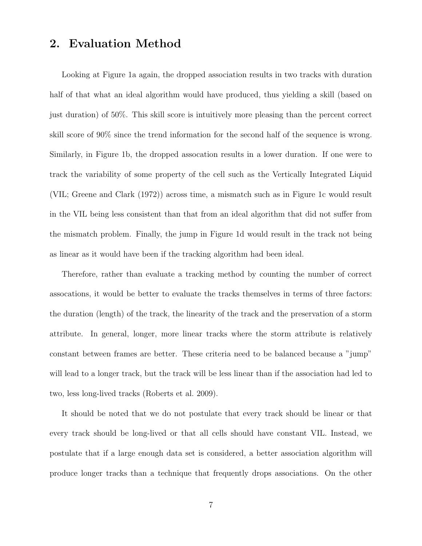## 2. Evaluation Method

Looking at Figure 1a again, the dropped association results in two tracks with duration half of that what an ideal algorithm would have produced, thus yielding a skill (based on just duration) of 50%. This skill score is intuitively more pleasing than the percent correct skill score of 90% since the trend information for the second half of the sequence is wrong. Similarly, in Figure 1b, the dropped assocation results in a lower duration. If one were to track the variability of some property of the cell such as the Vertically Integrated Liquid (VIL; Greene and Clark (1972)) across time, a mismatch such as in Figure 1c would result in the VIL being less consistent than that from an ideal algorithm that did not suffer from the mismatch problem. Finally, the jump in Figure 1d would result in the track not being as linear as it would have been if the tracking algorithm had been ideal.

Therefore, rather than evaluate a tracking method by counting the number of correct assocations, it would be better to evaluate the tracks themselves in terms of three factors: the duration (length) of the track, the linearity of the track and the preservation of a storm attribute. In general, longer, more linear tracks where the storm attribute is relatively constant between frames are better. These criteria need to be balanced because a "jump" will lead to a longer track, but the track will be less linear than if the association had led to two, less long-lived tracks (Roberts et al. 2009).

It should be noted that we do not postulate that every track should be linear or that every track should be long-lived or that all cells should have constant VIL. Instead, we postulate that if a large enough data set is considered, a better association algorithm will produce longer tracks than a technique that frequently drops associations. On the other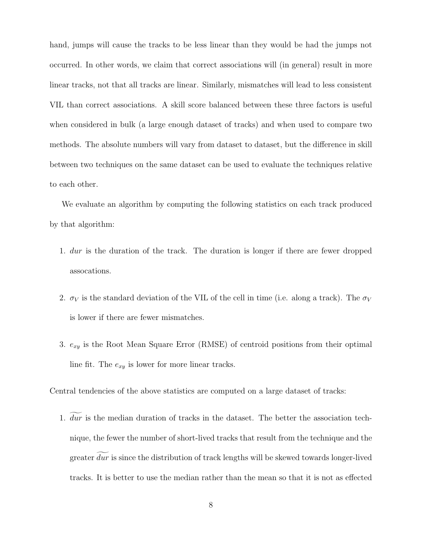hand, jumps will cause the tracks to be less linear than they would be had the jumps not occurred. In other words, we claim that correct associations will (in general) result in more linear tracks, not that all tracks are linear. Similarly, mismatches will lead to less consistent VIL than correct associations. A skill score balanced between these three factors is useful when considered in bulk (a large enough dataset of tracks) and when used to compare two methods. The absolute numbers will vary from dataset to dataset, but the difference in skill between two techniques on the same dataset can be used to evaluate the techniques relative to each other.

We evaluate an algorithm by computing the following statistics on each track produced by that algorithm:

- 1. dur is the duration of the track. The duration is longer if there are fewer dropped assocations.
- 2.  $\sigma_V$  is the standard deviation of the VIL of the cell in time (i.e. along a track). The  $\sigma_V$ is lower if there are fewer mismatches.
- 3.  $e_{xy}$  is the Root Mean Square Error (RMSE) of centroid positions from their optimal line fit. The  $e_{xy}$  is lower for more linear tracks.

Central tendencies of the above statistics are computed on a large dataset of tracks:

1.  $\overline{dur}$  is the median duration of tracks in the dataset. The better the association technique, the fewer the number of short-lived tracks that result from the technique and the greater  $\overline{dur}$  is since the distribution of track lengths will be skewed towards longer-lived tracks. It is better to use the median rather than the mean so that it is not as effected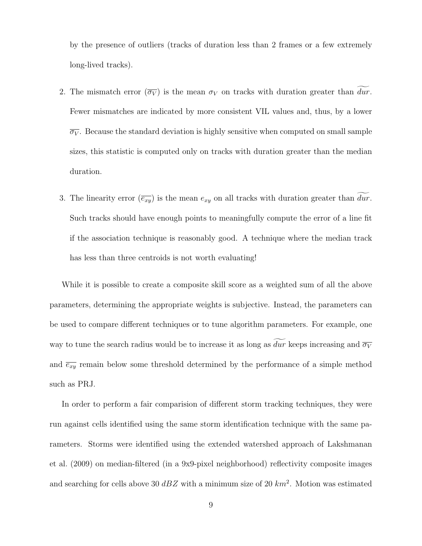by the presence of outliers (tracks of duration less than 2 frames or a few extremely long-lived tracks).

- 2. The mismatch error  $(\overline{\sigma_V})$  is the mean  $\sigma_V$  on tracks with duration greater than dur. Fewer mismatches are indicated by more consistent VIL values and, thus, by a lower  $\overline{\sigma_V}$ . Because the standard deviation is highly sensitive when computed on small sample sizes, this statistic is computed only on tracks with duration greater than the median duration.
- 3. The linearity error  $(\overline{e_{xy}})$  is the mean  $e_{xy}$  on all tracks with duration greater than  $\overline{dur}$ . Such tracks should have enough points to meaningfully compute the error of a line fit if the association technique is reasonably good. A technique where the median track has less than three centroids is not worth evaluating!

While it is possible to create a composite skill score as a weighted sum of all the above parameters, determining the appropriate weights is subjective. Instead, the parameters can be used to compare different techniques or to tune algorithm parameters. For example, one way to tune the search radius would be to increase it as long as dur keeps increasing and  $\overline{\sigma_V}$ and  $\overline{e_{xy}}$  remain below some threshold determined by the performance of a simple method such as PRJ.

In order to perform a fair comparision of different storm tracking techniques, they were run against cells identified using the same storm identification technique with the same parameters. Storms were identified using the extended watershed approach of Lakshmanan et al. (2009) on median-filtered (in a 9x9-pixel neighborhood) reflectivity composite images and searching for cells above 30  $dBZ$  with a minimum size of 20  $km^2$ . Motion was estimated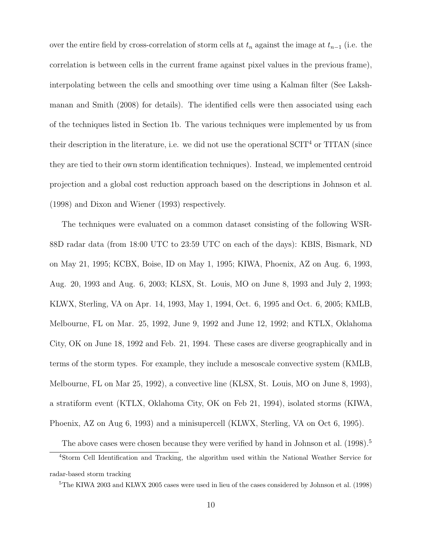over the entire field by cross-correlation of storm cells at  $t_n$  against the image at  $t_{n-1}$  (i.e. the correlation is between cells in the current frame against pixel values in the previous frame), interpolating between the cells and smoothing over time using a Kalman filter (See Lakshmanan and Smith (2008) for details). The identified cells were then associated using each of the techniques listed in Section 1b. The various techniques were implemented by us from their description in the literature, i.e. we did not use the operational  $SCIT<sup>4</sup>$  or TITAN (since they are tied to their own storm identification techniques). Instead, we implemented centroid projection and a global cost reduction approach based on the descriptions in Johnson et al. (1998) and Dixon and Wiener (1993) respectively.

The techniques were evaluated on a common dataset consisting of the following WSR-88D radar data (from 18:00 UTC to 23:59 UTC on each of the days): KBIS, Bismark, ND on May 21, 1995; KCBX, Boise, ID on May 1, 1995; KIWA, Phoenix, AZ on Aug. 6, 1993, Aug. 20, 1993 and Aug. 6, 2003; KLSX, St. Louis, MO on June 8, 1993 and July 2, 1993; KLWX, Sterling, VA on Apr. 14, 1993, May 1, 1994, Oct. 6, 1995 and Oct. 6, 2005; KMLB, Melbourne, FL on Mar. 25, 1992, June 9, 1992 and June 12, 1992; and KTLX, Oklahoma City, OK on June 18, 1992 and Feb. 21, 1994. These cases are diverse geographically and in terms of the storm types. For example, they include a mesoscale convective system (KMLB, Melbourne, FL on Mar 25, 1992), a convective line (KLSX, St. Louis, MO on June 8, 1993), a stratiform event (KTLX, Oklahoma City, OK on Feb 21, 1994), isolated storms (KIWA, Phoenix, AZ on Aug 6, 1993) and a minisupercell (KLWX, Sterling, VA on Oct 6, 1995).

The above cases were chosen because they were verified by hand in Johnson et al. (1998).<sup>5</sup>

<sup>4</sup>Storm Cell Identification and Tracking, the algorithm used within the National Weather Service for radar-based storm tracking

<sup>5</sup>The KIWA 2003 and KLWX 2005 cases were used in lieu of the cases considered by Johnson et al. (1998)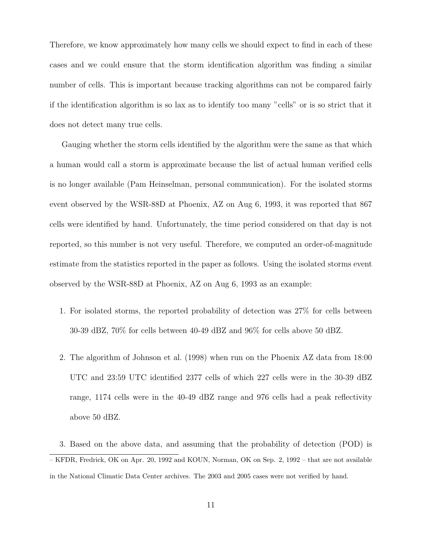Therefore, we know approximately how many cells we should expect to find in each of these cases and we could ensure that the storm identification algorithm was finding a similar number of cells. This is important because tracking algorithms can not be compared fairly if the identification algorithm is so lax as to identify too many "cells" or is so strict that it does not detect many true cells.

Gauging whether the storm cells identified by the algorithm were the same as that which a human would call a storm is approximate because the list of actual human verified cells is no longer available (Pam Heinselman, personal communication). For the isolated storms event observed by the WSR-88D at Phoenix, AZ on Aug 6, 1993, it was reported that 867 cells were identified by hand. Unfortunately, the time period considered on that day is not reported, so this number is not very useful. Therefore, we computed an order-of-magnitude estimate from the statistics reported in the paper as follows. Using the isolated storms event observed by the WSR-88D at Phoenix, AZ on Aug 6, 1993 as an example:

- 1. For isolated storms, the reported probability of detection was 27% for cells between 30-39 dBZ, 70% for cells between 40-49 dBZ and 96% for cells above 50 dBZ.
- 2. The algorithm of Johnson et al. (1998) when run on the Phoenix AZ data from 18:00 UTC and 23:59 UTC identified 2377 cells of which 227 cells were in the 30-39 dBZ range, 1174 cells were in the 40-49 dBZ range and 976 cells had a peak reflectivity above 50 dBZ.

3. Based on the above data, and assuming that the probability of detection (POD) is – KFDR, Fredrick, OK on Apr. 20, 1992 and KOUN, Norman, OK on Sep. 2, 1992 – that are not available in the National Climatic Data Center archives. The 2003 and 2005 cases were not verified by hand.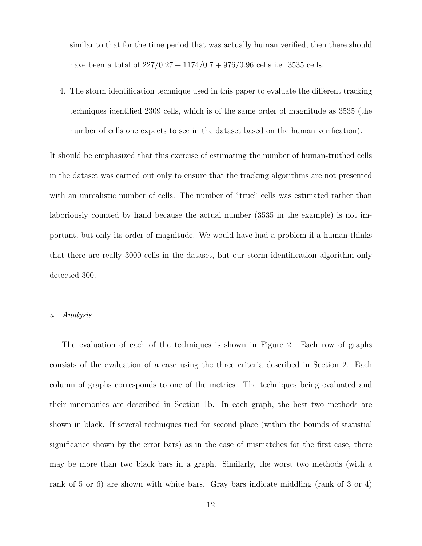similar to that for the time period that was actually human verified, then there should have been a total of  $227/0.27 + 1174/0.7 + 976/0.96$  cells i.e. 3535 cells.

4. The storm identification technique used in this paper to evaluate the different tracking techniques identified 2309 cells, which is of the same order of magnitude as 3535 (the number of cells one expects to see in the dataset based on the human verification).

It should be emphasized that this exercise of estimating the number of human-truthed cells in the dataset was carried out only to ensure that the tracking algorithms are not presented with an unrealistic number of cells. The number of "true" cells was estimated rather than laboriously counted by hand because the actual number (3535 in the example) is not important, but only its order of magnitude. We would have had a problem if a human thinks that there are really 3000 cells in the dataset, but our storm identification algorithm only detected 300.

#### a. Analysis

The evaluation of each of the techniques is shown in Figure 2. Each row of graphs consists of the evaluation of a case using the three criteria described in Section 2. Each column of graphs corresponds to one of the metrics. The techniques being evaluated and their mnemonics are described in Section 1b. In each graph, the best two methods are shown in black. If several techniques tied for second place (within the bounds of statistial significance shown by the error bars) as in the case of mismatches for the first case, there may be more than two black bars in a graph. Similarly, the worst two methods (with a rank of 5 or 6) are shown with white bars. Gray bars indicate middling (rank of 3 or 4)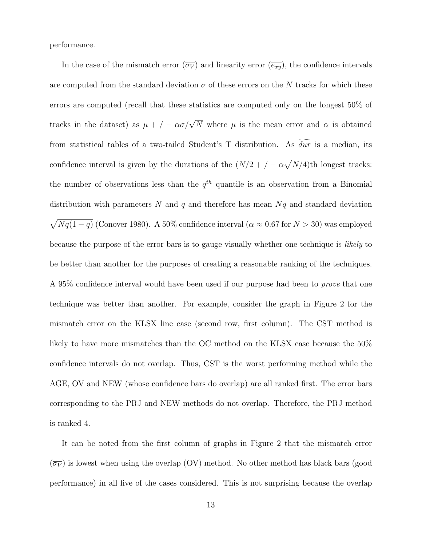performance.

In the case of the mismatch error  $(\overline{\sigma_V})$  and linearity error  $(\overline{e_{xy}})$ , the confidence intervals are computed from the standard deviation  $\sigma$  of these errors on the N tracks for which these errors are computed (recall that these statistics are computed only on the longest 50% of tracks in the dataset) as  $\mu + / -\alpha \sigma / \sqrt{N}$  where  $\mu$  is the mean error and  $\alpha$  is obtained from statistical tables of a two-tailed Student's T distribution. As  $\widetilde{dur}$  is a median, its confidence interval is given by the durations of the  $(N/2 + / -\alpha\sqrt{N/4})$ th longest tracks: the number of observations less than the  $q^{th}$  quantile is an observation from a Binomial distribution with parameters  $N$  and  $q$  and therefore has mean  $Nq$  and standard deviation  $\sqrt{Nq(1-q)}$  (Conover 1980). A 50% confidence interval ( $\alpha \approx 0.67$  for  $N > 30$ ) was employed because the purpose of the error bars is to gauge visually whether one technique is likely to be better than another for the purposes of creating a reasonable ranking of the techniques. A 95% confidence interval would have been used if our purpose had been to *prove* that one technique was better than another. For example, consider the graph in Figure 2 for the mismatch error on the KLSX line case (second row, first column). The CST method is likely to have more mismatches than the OC method on the KLSX case because the 50% confidence intervals do not overlap. Thus, CST is the worst performing method while the AGE, OV and NEW (whose confidence bars do overlap) are all ranked first. The error bars corresponding to the PRJ and NEW methods do not overlap. Therefore, the PRJ method is ranked 4.

It can be noted from the first column of graphs in Figure 2 that the mismatch error  $(\overline{\sigma_V})$  is lowest when using the overlap (OV) method. No other method has black bars (good performance) in all five of the cases considered. This is not surprising because the overlap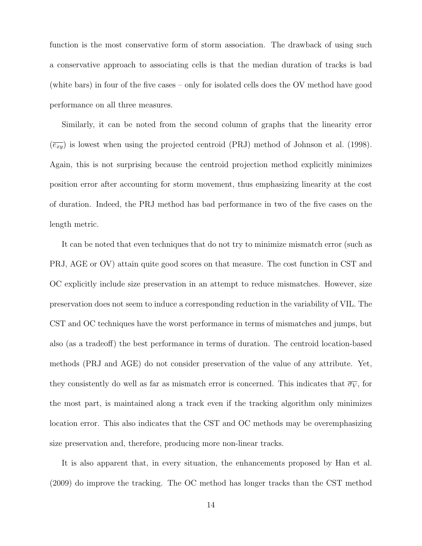function is the most conservative form of storm association. The drawback of using such a conservative approach to associating cells is that the median duration of tracks is bad (white bars) in four of the five cases – only for isolated cells does the OV method have good performance on all three measures.

Similarly, it can be noted from the second column of graphs that the linearity error  $(\overline{e_{xy}})$  is lowest when using the projected centroid (PRJ) method of Johnson et al. (1998). Again, this is not surprising because the centroid projection method explicitly minimizes position error after accounting for storm movement, thus emphasizing linearity at the cost of duration. Indeed, the PRJ method has bad performance in two of the five cases on the length metric.

It can be noted that even techniques that do not try to minimize mismatch error (such as PRJ, AGE or OV) attain quite good scores on that measure. The cost function in CST and OC explicitly include size preservation in an attempt to reduce mismatches. However, size preservation does not seem to induce a corresponding reduction in the variability of VIL. The CST and OC techniques have the worst performance in terms of mismatches and jumps, but also (as a tradeoff) the best performance in terms of duration. The centroid location-based methods (PRJ and AGE) do not consider preservation of the value of any attribute. Yet, they consistently do well as far as mismatch error is concerned. This indicates that  $\overline{\sigma_V}$ , for the most part, is maintained along a track even if the tracking algorithm only minimizes location error. This also indicates that the CST and OC methods may be overemphasizing size preservation and, therefore, producing more non-linear tracks.

It is also apparent that, in every situation, the enhancements proposed by Han et al. (2009) do improve the tracking. The OC method has longer tracks than the CST method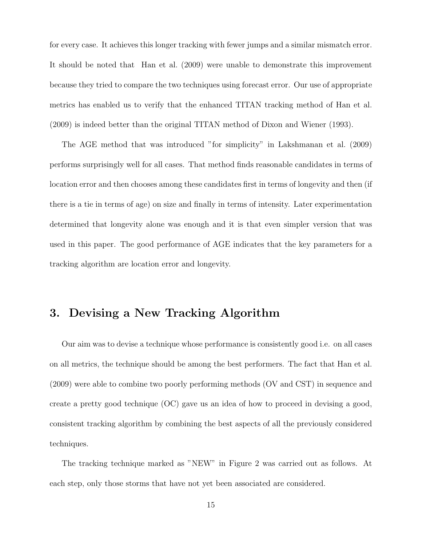for every case. It achieves this longer tracking with fewer jumps and a similar mismatch error. It should be noted that Han et al. (2009) were unable to demonstrate this improvement because they tried to compare the two techniques using forecast error. Our use of appropriate metrics has enabled us to verify that the enhanced TITAN tracking method of Han et al. (2009) is indeed better than the original TITAN method of Dixon and Wiener (1993).

The AGE method that was introduced "for simplicity" in Lakshmanan et al. (2009) performs surprisingly well for all cases. That method finds reasonable candidates in terms of location error and then chooses among these candidates first in terms of longevity and then (if there is a tie in terms of age) on size and finally in terms of intensity. Later experimentation determined that longevity alone was enough and it is that even simpler version that was used in this paper. The good performance of AGE indicates that the key parameters for a tracking algorithm are location error and longevity.

## 3. Devising a New Tracking Algorithm

Our aim was to devise a technique whose performance is consistently good i.e. on all cases on all metrics, the technique should be among the best performers. The fact that Han et al. (2009) were able to combine two poorly performing methods (OV and CST) in sequence and create a pretty good technique (OC) gave us an idea of how to proceed in devising a good, consistent tracking algorithm by combining the best aspects of all the previously considered techniques.

The tracking technique marked as "NEW" in Figure 2 was carried out as follows. At each step, only those storms that have not yet been associated are considered.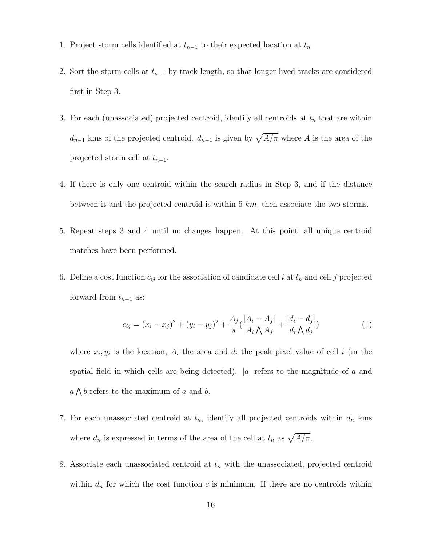- 1. Project storm cells identified at  $t_{n-1}$  to their expected location at  $t_n$ .
- 2. Sort the storm cells at  $t_{n-1}$  by track length, so that longer-lived tracks are considered first in Step 3.
- 3. For each (unassociated) projected centroid, identify all centroids at  $t_n$  that are within  $d_{n-1}$  kms of the projected centroid.  $d_{n-1}$  is given by  $\sqrt{A/\pi}$  where A is the area of the projected storm cell at  $t_{n-1}$ .
- 4. If there is only one centroid within the search radius in Step 3, and if the distance between it and the projected centroid is within 5 km, then associate the two storms.
- 5. Repeat steps 3 and 4 until no changes happen. At this point, all unique centroid matches have been performed.
- 6. Define a cost function  $c_{ij}$  for the association of candidate cell i at  $t_n$  and cell j projected forward from  $t_{n-1}$  as:

$$
c_{ij} = (x_i - x_j)^2 + (y_i - y_j)^2 + \frac{A_j}{\pi} \left( \frac{|A_i - A_j|}{A_i \bigwedge A_j} + \frac{|d_i - d_j|}{d_i \bigwedge d_j} \right)
$$
(1)

where  $x_i, y_i$  is the location,  $A_i$  the area and  $d_i$  the peak pixel value of cell i (in the spatial field in which cells are being detected).  $|a|$  refers to the magnitude of a and  $a \bigwedge b$  refers to the maximum of a and b.

- 7. For each unassociated centroid at  $t_n$ , identify all projected centroids within  $d_n$  kms where  $d_n$  is expressed in terms of the area of the cell at  $t_n$  as  $\sqrt{A/\pi}$ .
- 8. Associate each unassociated centroid at  $t_n$  with the unassociated, projected centroid within  $d_n$  for which the cost function c is minimum. If there are no centroids within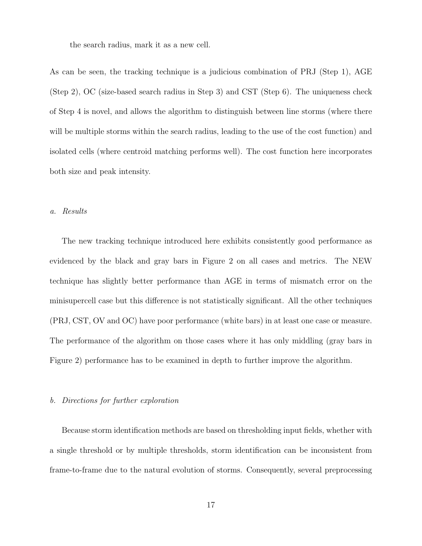the search radius, mark it as a new cell.

As can be seen, the tracking technique is a judicious combination of PRJ (Step 1), AGE (Step 2), OC (size-based search radius in Step 3) and CST (Step 6). The uniqueness check of Step 4 is novel, and allows the algorithm to distinguish between line storms (where there will be multiple storms within the search radius, leading to the use of the cost function) and isolated cells (where centroid matching performs well). The cost function here incorporates both size and peak intensity.

#### a. Results

The new tracking technique introduced here exhibits consistently good performance as evidenced by the black and gray bars in Figure 2 on all cases and metrics. The NEW technique has slightly better performance than AGE in terms of mismatch error on the minisupercell case but this difference is not statistically significant. All the other techniques (PRJ, CST, OV and OC) have poor performance (white bars) in at least one case or measure. The performance of the algorithm on those cases where it has only middling (gray bars in Figure 2) performance has to be examined in depth to further improve the algorithm.

#### b. Directions for further exploration

Because storm identification methods are based on thresholding input fields, whether with a single threshold or by multiple thresholds, storm identification can be inconsistent from frame-to-frame due to the natural evolution of storms. Consequently, several preprocessing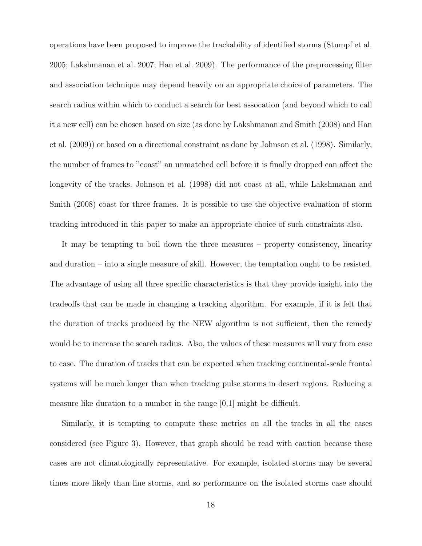operations have been proposed to improve the trackability of identified storms (Stumpf et al. 2005; Lakshmanan et al. 2007; Han et al. 2009). The performance of the preprocessing filter and association technique may depend heavily on an appropriate choice of parameters. The search radius within which to conduct a search for best assocation (and beyond which to call it a new cell) can be chosen based on size (as done by Lakshmanan and Smith (2008) and Han et al. (2009)) or based on a directional constraint as done by Johnson et al. (1998). Similarly, the number of frames to "coast" an unmatched cell before it is finally dropped can affect the longevity of the tracks. Johnson et al. (1998) did not coast at all, while Lakshmanan and Smith (2008) coast for three frames. It is possible to use the objective evaluation of storm tracking introduced in this paper to make an appropriate choice of such constraints also.

It may be tempting to boil down the three measures – property consistency, linearity and duration – into a single measure of skill. However, the temptation ought to be resisted. The advantage of using all three specific characteristics is that they provide insight into the tradeoffs that can be made in changing a tracking algorithm. For example, if it is felt that the duration of tracks produced by the NEW algorithm is not sufficient, then the remedy would be to increase the search radius. Also, the values of these measures will vary from case to case. The duration of tracks that can be expected when tracking continental-scale frontal systems will be much longer than when tracking pulse storms in desert regions. Reducing a measure like duration to a number in the range  $[0,1]$  might be difficult.

Similarly, it is tempting to compute these metrics on all the tracks in all the cases considered (see Figure 3). However, that graph should be read with caution because these cases are not climatologically representative. For example, isolated storms may be several times more likely than line storms, and so performance on the isolated storms case should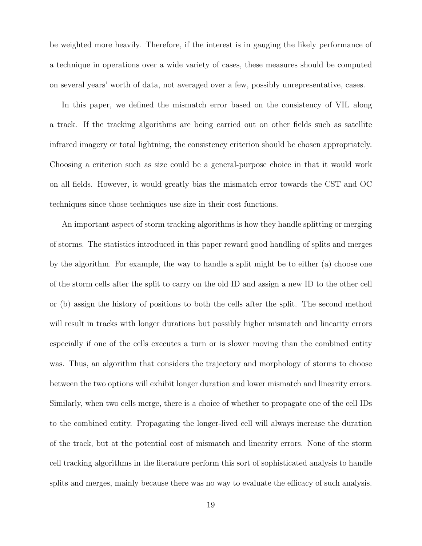be weighted more heavily. Therefore, if the interest is in gauging the likely performance of a technique in operations over a wide variety of cases, these measures should be computed on several years' worth of data, not averaged over a few, possibly unrepresentative, cases.

In this paper, we defined the mismatch error based on the consistency of VIL along a track. If the tracking algorithms are being carried out on other fields such as satellite infrared imagery or total lightning, the consistency criterion should be chosen appropriately. Choosing a criterion such as size could be a general-purpose choice in that it would work on all fields. However, it would greatly bias the mismatch error towards the CST and OC techniques since those techniques use size in their cost functions.

An important aspect of storm tracking algorithms is how they handle splitting or merging of storms. The statistics introduced in this paper reward good handling of splits and merges by the algorithm. For example, the way to handle a split might be to either (a) choose one of the storm cells after the split to carry on the old ID and assign a new ID to the other cell or (b) assign the history of positions to both the cells after the split. The second method will result in tracks with longer durations but possibly higher mismatch and linearity errors especially if one of the cells executes a turn or is slower moving than the combined entity was. Thus, an algorithm that considers the trajectory and morphology of storms to choose between the two options will exhibit longer duration and lower mismatch and linearity errors. Similarly, when two cells merge, there is a choice of whether to propagate one of the cell IDs to the combined entity. Propagating the longer-lived cell will always increase the duration of the track, but at the potential cost of mismatch and linearity errors. None of the storm cell tracking algorithms in the literature perform this sort of sophisticated analysis to handle splits and merges, mainly because there was no way to evaluate the efficacy of such analysis.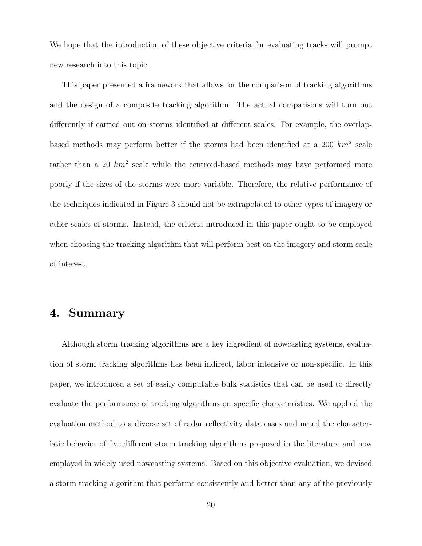We hope that the introduction of these objective criteria for evaluating tracks will prompt new research into this topic.

This paper presented a framework that allows for the comparison of tracking algorithms and the design of a composite tracking algorithm. The actual comparisons will turn out differently if carried out on storms identified at different scales. For example, the overlapbased methods may perform better if the storms had been identified at a 200  $km^2$  scale rather than a 20  $km^2$  scale while the centroid-based methods may have performed more poorly if the sizes of the storms were more variable. Therefore, the relative performance of the techniques indicated in Figure 3 should not be extrapolated to other types of imagery or other scales of storms. Instead, the criteria introduced in this paper ought to be employed when choosing the tracking algorithm that will perform best on the imagery and storm scale of interest.

## 4. Summary

Although storm tracking algorithms are a key ingredient of nowcasting systems, evaluation of storm tracking algorithms has been indirect, labor intensive or non-specific. In this paper, we introduced a set of easily computable bulk statistics that can be used to directly evaluate the performance of tracking algorithms on specific characteristics. We applied the evaluation method to a diverse set of radar reflectivity data cases and noted the characteristic behavior of five different storm tracking algorithms proposed in the literature and now employed in widely used nowcasting systems. Based on this objective evaluation, we devised a storm tracking algorithm that performs consistently and better than any of the previously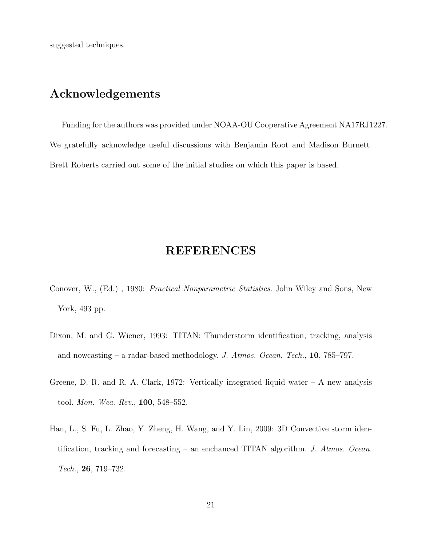suggested techniques.

## Acknowledgements

Funding for the authors was provided under NOAA-OU Cooperative Agreement NA17RJ1227. We gratefully acknowledge useful discussions with Benjamin Root and Madison Burnett. Brett Roberts carried out some of the initial studies on which this paper is based.

## REFERENCES

- Conover, W., (Ed.) , 1980: Practical Nonparametric Statistics. John Wiley and Sons, New York, 493 pp.
- Dixon, M. and G. Wiener, 1993: TITAN: Thunderstorm identification, tracking, analysis and nowcasting – a radar-based methodology. J. Atmos. Ocean. Tech.,  $10$ , 785–797.
- Greene, D. R. and R. A. Clark, 1972: Vertically integrated liquid water  $A$  new analysis tool. Mon. Wea. Rev., 100, 548–552.
- Han, L., S. Fu, L. Zhao, Y. Zheng, H. Wang, and Y. Lin, 2009: 3D Convective storm identification, tracking and forecasting – an enchanced TITAN algorithm. J. Atmos. Ocean. Tech., 26, 719–732.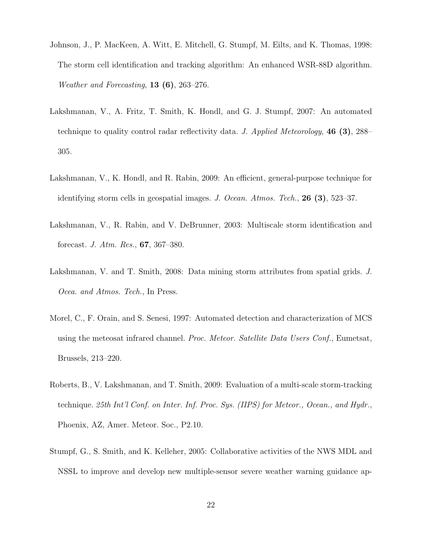- Johnson, J., P. MacKeen, A. Witt, E. Mitchell, G. Stumpf, M. Eilts, and K. Thomas, 1998: The storm cell identification and tracking algorithm: An enhanced WSR-88D algorithm. *Weather and Forecasting*, **13** (6), 263–276.
- Lakshmanan, V., A. Fritz, T. Smith, K. Hondl, and G. J. Stumpf, 2007: An automated technique to quality control radar reflectivity data. J. Applied Meteorology, 46 (3), 288– 305.
- Lakshmanan, V., K. Hondl, and R. Rabin, 2009: An efficient, general-purpose technique for identifying storm cells in geospatial images. J. Ocean. Atmos. Tech., **26** (3), 523–37.
- Lakshmanan, V., R. Rabin, and V. DeBrunner, 2003: Multiscale storm identification and forecast. J. Atm. Res., 67, 367–380.
- Lakshmanan, V. and T. Smith, 2008: Data mining storm attributes from spatial grids. J. Ocea. and Atmos. Tech., In Press.
- Morel, C., F. Orain, and S. Senesi, 1997: Automated detection and characterization of MCS using the meteosat infrared channel. *Proc. Meteor. Satellite Data Users Conf.*, Eumetsat, Brussels, 213–220.
- Roberts, B., V. Lakshmanan, and T. Smith, 2009: Evaluation of a multi-scale storm-tracking technique. 25th Int'l Conf. on Inter. Inf. Proc. Sys. (IIPS) for Meteor., Ocean., and Hydr., Phoenix, AZ, Amer. Meteor. Soc., P2.10.
- Stumpf, G., S. Smith, and K. Kelleher, 2005: Collaborative activities of the NWS MDL and NSSL to improve and develop new multiple-sensor severe weather warning guidance ap-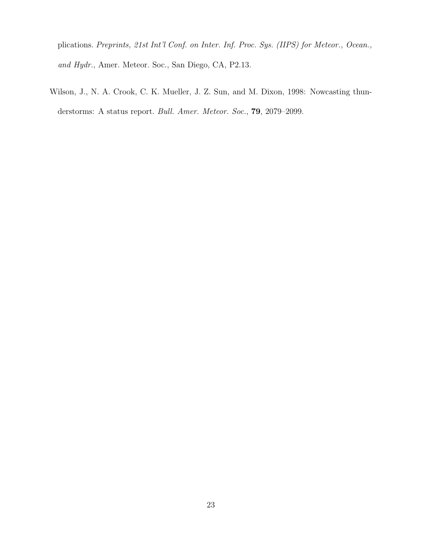plications. Preprints, 21st Int'l Conf. on Inter. Inf. Proc. Sys. (IIPS) for Meteor., Ocean., and Hydr., Amer. Meteor. Soc., San Diego, CA, P2.13.

Wilson, J., N. A. Crook, C. K. Mueller, J. Z. Sun, and M. Dixon, 1998: Nowcasting thunderstorms: A status report. *Bull. Amer. Meteor. Soc.*, **79**, 2079–2099.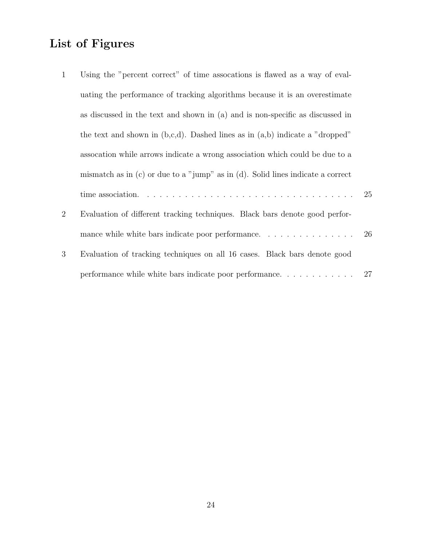## List of Figures

| $\mathbf{1}$   | Using the "percent correct" of time assocations is flawed as a way of eval-                                       |  |
|----------------|-------------------------------------------------------------------------------------------------------------------|--|
|                | uating the performance of tracking algorithms because it is an overestimate                                       |  |
|                | as discussed in the text and shown in (a) and is non-specific as discussed in                                     |  |
|                | the text and shown in $(b,c,d)$ . Dashed lines as in $(a,b)$ indicate a "dropped"                                 |  |
|                | assocation while arrows indicate a wrong association which could be due to a                                      |  |
|                | mismatch as in $(c)$ or due to a "jump" as in $(d)$ . Solid lines indicate a correct                              |  |
|                | time association. $\ldots \ldots \ldots \ldots \ldots \ldots \ldots \ldots \ldots \ldots \ldots \ldots \ldots 25$ |  |
| $\overline{2}$ | Evaluation of different tracking techniques. Black bars denote good perfor-                                       |  |
|                |                                                                                                                   |  |
| 3              | Evaluation of tracking techniques on all 16 cases. Black bars denote good                                         |  |
|                | performance while white bars indicate poor performance. $\ldots \ldots \ldots \ldots$ 27                          |  |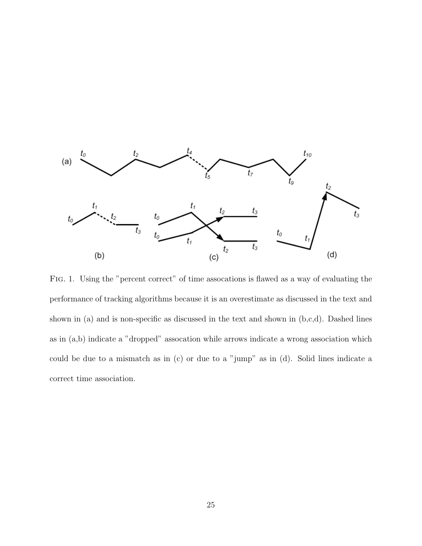

Fig. 1. Using the "percent correct" of time assocations is flawed as a way of evaluating the performance of tracking algorithms because it is an overestimate as discussed in the text and shown in (a) and is non-specific as discussed in the text and shown in  $(b,c,d)$ . Dashed lines as in (a,b) indicate a "dropped" assocation while arrows indicate a wrong association which could be due to a mismatch as in (c) or due to a "jump" as in (d). Solid lines indicate a correct time association.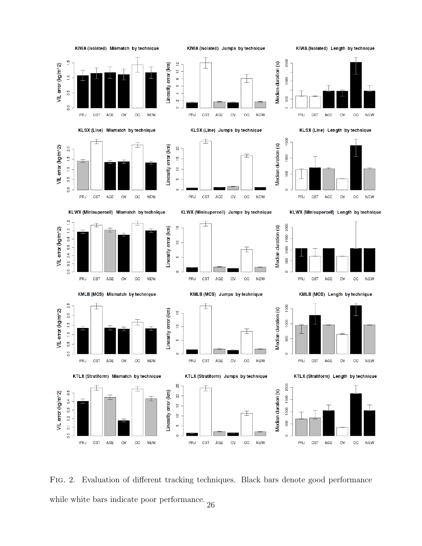

Fig. 2. Evaluation of different tracking techniques. Black bars denote good performance while white bars indicate poor performance.  $_{26}$